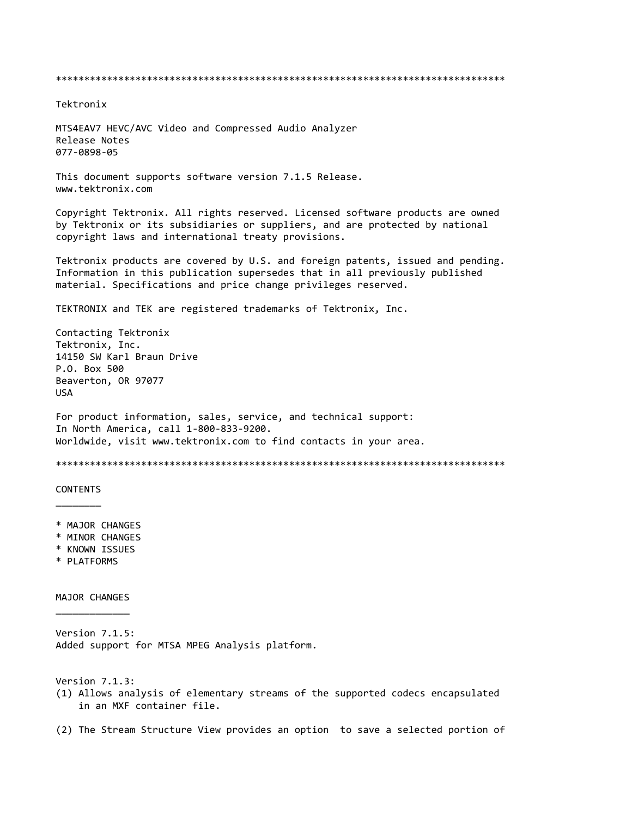\*\*\*\*\*\*\*\*\*\*\*\*\*\*\*\*\*\*\*\*\*\*\*\*\*\*\*\*\*\*\*\*\*\*\*\*\*\*\*\*\*\*\*\*\*\*\*\*\*\*\*\*\*\*\*\*\*\*\*\*\*\*\*\*\*\*\*\*\*\*\*\*\*\*\*\*\*\*\*

Tektronix

MTS4EAV7 HEVC/AVC Video and Compressed Audio Analyzer Release Notes 077-0898-05

This document supports software version 7.1.5 Release. www.tektronix.com

Copyright Tektronix. All rights reserved. Licensed software products are owned by Tektronix or its subsidiaries or suppliers, and are protected by national copyright laws and international treaty provisions.

Tektronix products are covered by U.S. and foreign patents, issued and pending. Information in this publication supersedes that in all previously published material. Specifications and price change privileges reserved.

TEKTRONIX and TEK are registered trademarks of Tektronix, Inc.

Contacting Tektronix Tektronix, Inc. 14150 SW Karl Braun Drive P.O. Box 500 Beaverton, OR 97077 USA

For product information, sales, service, and technical support: In North America, call 1-800-833-9200. Worldwide, visit www.tektronix.com to find contacts in your area.

\*\*\*\*\*\*\*\*\*\*\*\*\*\*\*\*\*\*\*\*\*\*\*\*\*\*\*\*\*\*\*\*\*\*\*\*\*\*\*\*\*\*\*\*\*\*\*\*\*\*\*\*\*\*\*\*\*\*\*\*\*\*\*\*\*\*\*\*\*\*\*\*\*\*\*\*\*\*\*

**CONTENTS**  $\frac{1}{2}$ 

- \* MAJOR CHANGES
- \* MINOR CHANGES
- \* KNOWN ISSUES
- \* PLATFORMS

MAJOR CHANGES  $\overline{\phantom{a}}$  , where  $\overline{\phantom{a}}$ 

Version 7.1.5: Added support for MTSA MPEG Analysis platform.

Version 7.1.3:

(1) Allows analysis of elementary streams of the supported codecs encapsulated in an MXF container file.

(2) The Stream Structure View provides an option to save a selected portion of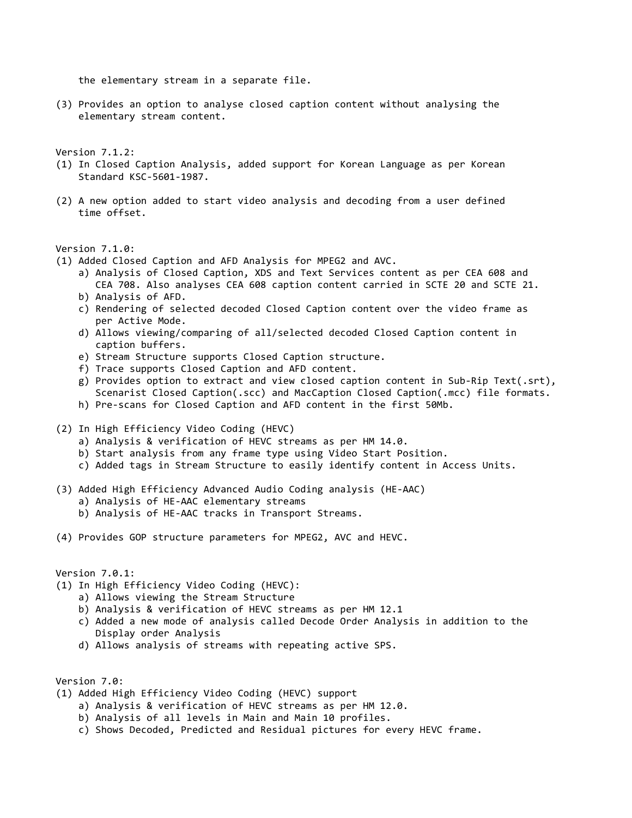the elementary stream in a separate file.

(3) Provides an option to analyse closed caption content without analysing the elementary stream content.

Version 7.1.2:

- (1) In Closed Caption Analysis, added support for Korean Language as per Korean Standard KSC-5601-1987.
- (2) A new option added to start video analysis and decoding from a user defined time offset.

Version 7.1.0:

- (1) Added Closed Caption and AFD Analysis for MPEG2 and AVC.
	- a) Analysis of Closed Caption, XDS and Text Services content as per CEA 608 and CEA 708. Also analyses CEA 608 caption content carried in SCTE 20 and SCTE 21.
	- b) Analysis of AFD.
	- c) Rendering of selected decoded Closed Caption content over the video frame as per Active Mode.
	- d) Allows viewing/comparing of all/selected decoded Closed Caption content in caption buffers.
	- e) Stream Structure supports Closed Caption structure.
	- f) Trace supports Closed Caption and AFD content.
	- g) Provides option to extract and view closed caption content in Sub-Rip Text(.srt), Scenarist Closed Caption(.scc) and MacCaption Closed Caption(.mcc) file formats.
	- h) Pre-scans for Closed Caption and AFD content in the first 50Mb.
- (2) In High Efficiency Video Coding (HEVC)
	- a) Analysis & verification of HEVC streams as per HM 14.0.
	- b) Start analysis from any frame type using Video Start Position.
	- c) Added tags in Stream Structure to easily identify content in Access Units.
- (3) Added High Efficiency Advanced Audio Coding analysis (HE-AAC)
	- a) Analysis of HE-AAC elementary streams
	- b) Analysis of HE-AAC tracks in Transport Streams.

(4) Provides GOP structure parameters for MPEG2, AVC and HEVC.

Version 7.0.1:

- (1) In High Efficiency Video Coding (HEVC):
	- a) Allows viewing the Stream Structure
	- b) Analysis & verification of HEVC streams as per HM 12.1
	- c) Added a new mode of analysis called Decode Order Analysis in addition to the Display order Analysis
	- d) Allows analysis of streams with repeating active SPS.

Version 7.0:

- (1) Added High Efficiency Video Coding (HEVC) support
	- a) Analysis & verification of HEVC streams as per HM 12.0.
	- b) Analysis of all levels in Main and Main 10 profiles.
	- c) Shows Decoded, Predicted and Residual pictures for every HEVC frame.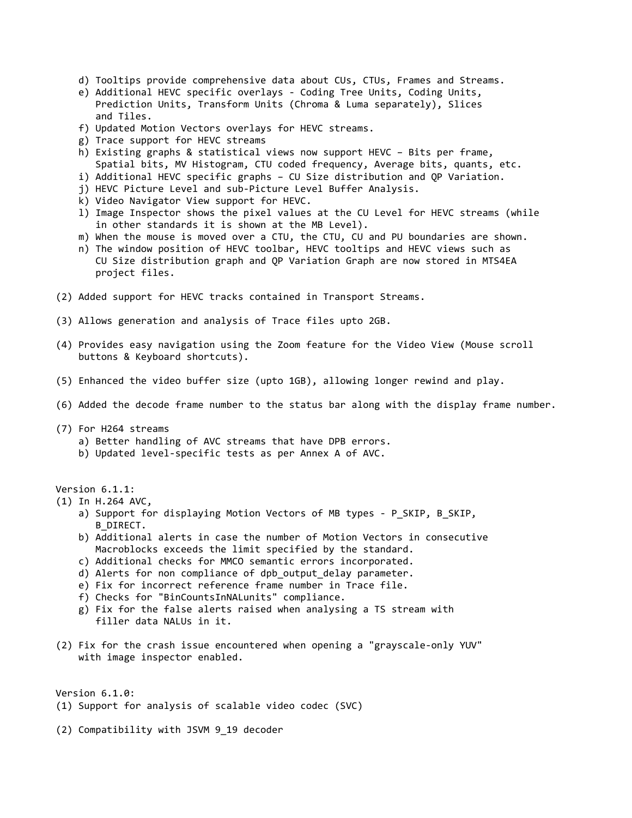- d) Tooltips provide comprehensive data about CUs, CTUs, Frames and Streams.
- e) Additional HEVC specific overlays Coding Tree Units, Coding Units, Prediction Units, Transform Units (Chroma & Luma separately), Slices and Tiles.
- f) Updated Motion Vectors overlays for HEVC streams.
- g) Trace support for HEVC streams
- h) Existing graphs & statistical views now support HEVC Bits per frame, Spatial bits, MV Histogram, CTU coded frequency, Average bits, quants, etc.
- i) Additional HEVC specific graphs CU Size distribution and QP Variation.
- j) HEVC Picture Level and sub-Picture Level Buffer Analysis.
- k) Video Navigator View support for HEVC.
- l) Image Inspector shows the pixel values at the CU Level for HEVC streams (while in other standards it is shown at the MB Level).
- m) When the mouse is moved over a CTU, the CTU, CU and PU boundaries are shown.
- n) The window position of HEVC toolbar, HEVC tooltips and HEVC views such as CU Size distribution graph and QP Variation Graph are now stored in MTS4EA project files.
- (2) Added support for HEVC tracks contained in Transport Streams.
- (3) Allows generation and analysis of Trace files upto 2GB.
- (4) Provides easy navigation using the Zoom feature for the Video View (Mouse scroll buttons & Keyboard shortcuts).
- (5) Enhanced the video buffer size (upto 1GB), allowing longer rewind and play.
- (6) Added the decode frame number to the status bar along with the display frame number.
- (7) For H264 streams
	- a) Better handling of AVC streams that have DPB errors.
	- b) Updated level-specific tests as per Annex A of AVC.

Version 6.1.1:

- (1) In H.264 AVC,
	- a) Support for displaying Motion Vectors of MB types P SKIP, B SKIP, B\_DIRECT.
	- b) Additional alerts in case the number of Motion Vectors in consecutive Macroblocks exceeds the limit specified by the standard.
	- c) Additional checks for MMCO semantic errors incorporated.
	- d) Alerts for non compliance of dpb\_output\_delay parameter.
	- e) Fix for incorrect reference frame number in Trace file.
	- f) Checks for "BinCountsInNALunits" compliance.
	- g) Fix for the false alerts raised when analysing a TS stream with filler data NALUs in it.
- (2) Fix for the crash issue encountered when opening a "grayscale-only YUV" with image inspector enabled.

Version 6.1.0:

- (1) Support for analysis of scalable video codec (SVC)
- (2) Compatibility with JSVM 9\_19 decoder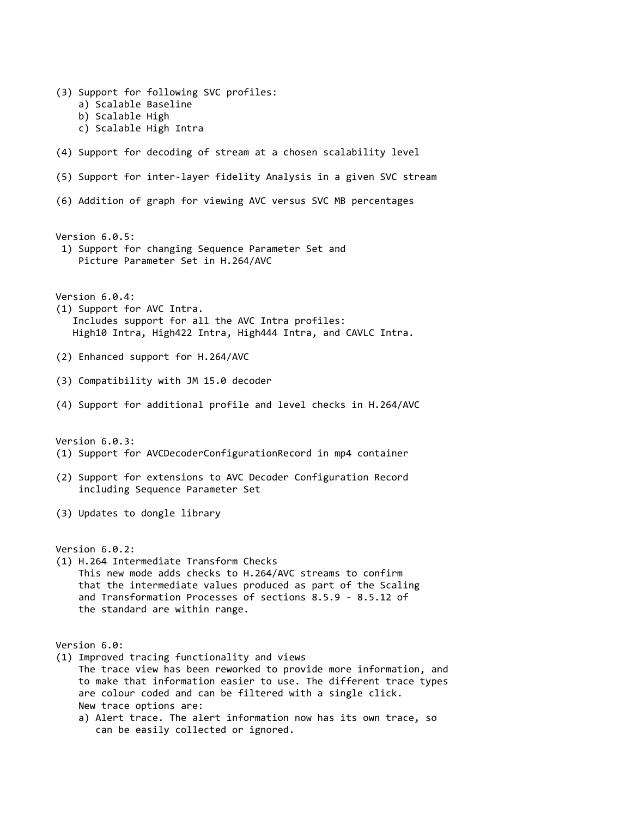(3) Support for following SVC profiles: a) Scalable Baseline b) Scalable High c) Scalable High Intra (4) Support for decoding of stream at a chosen scalability level (5) Support for inter-layer fidelity Analysis in a given SVC stream (6) Addition of graph for viewing AVC versus SVC MB percentages Version 6.0.5: 1) Support for changing Sequence Parameter Set and Picture Parameter Set in H.264/AVC Version 6.0.4: (1) Support for AVC Intra. Includes support for all the AVC Intra profiles: High10 Intra, High422 Intra, High444 Intra, and CAVLC Intra. (2) Enhanced support for H.264/AVC (3) Compatibility with JM 15.0 decoder (4) Support for additional profile and level checks in H.264/AVC Version 6.0.3: (1) Support for AVCDecoderConfigurationRecord in mp4 container (2) Support for extensions to AVC Decoder Configuration Record including Sequence Parameter Set (3) Updates to dongle library Version 6.0.2: (1) H.264 Intermediate Transform Checks This new mode adds checks to H.264/AVC streams to confirm that the intermediate values produced as part of the Scaling and Transformation Processes of sections 8.5.9 - 8.5.12 of the standard are within range. Version 6.0: (1) Improved tracing functionality and views The trace view has been reworked to provide more information, and to make that information easier to use. The different trace types are colour coded and can be filtered with a single click. New trace options are: a) Alert trace. The alert information now has its own trace, so can be easily collected or ignored.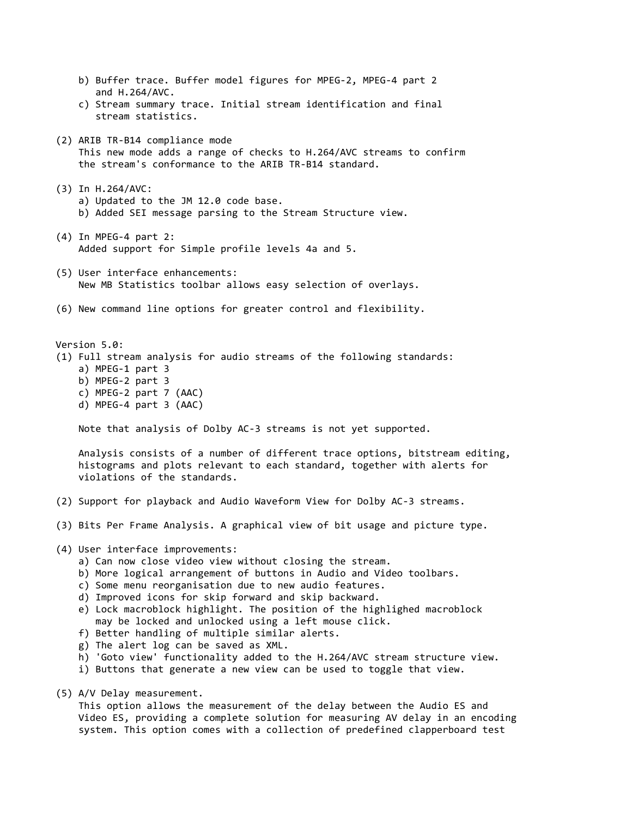b) Buffer trace. Buffer model figures for MPEG-2, MPEG-4 part 2 and H.264/AVC. c) Stream summary trace. Initial stream identification and final stream statistics. (2) ARIB TR-B14 compliance mode This new mode adds a range of checks to H.264/AVC streams to confirm the stream's conformance to the ARIB TR-B14 standard. (3) In H.264/AVC: a) Updated to the JM 12.0 code base. b) Added SEI message parsing to the Stream Structure view. (4) In MPEG-4 part 2: Added support for Simple profile levels 4a and 5. (5) User interface enhancements: New MB Statistics toolbar allows easy selection of overlays. (6) New command line options for greater control and flexibility. Version 5.0: (1) Full stream analysis for audio streams of the following standards: a) MPEG-1 part 3 b) MPEG-2 part 3 c) MPEG-2 part 7 (AAC) d) MPEG-4 part 3 (AAC) Note that analysis of Dolby AC-3 streams is not yet supported. Analysis consists of a number of different trace options, bitstream editing, histograms and plots relevant to each standard, together with alerts for violations of the standards. (2) Support for playback and Audio Waveform View for Dolby AC-3 streams. (3) Bits Per Frame Analysis. A graphical view of bit usage and picture type. (4) User interface improvements: a) Can now close video view without closing the stream. b) More logical arrangement of buttons in Audio and Video toolbars. c) Some menu reorganisation due to new audio features. d) Improved icons for skip forward and skip backward. e) Lock macroblock highlight. The position of the highlighed macroblock may be locked and unlocked using a left mouse click. f) Better handling of multiple similar alerts. g) The alert log can be saved as XML. h) 'Goto view' functionality added to the H.264/AVC stream structure view. i) Buttons that generate a new view can be used to toggle that view.

(5) A/V Delay measurement.

 This option allows the measurement of the delay between the Audio ES and Video ES, providing a complete solution for measuring AV delay in an encoding system. This option comes with a collection of predefined clapperboard test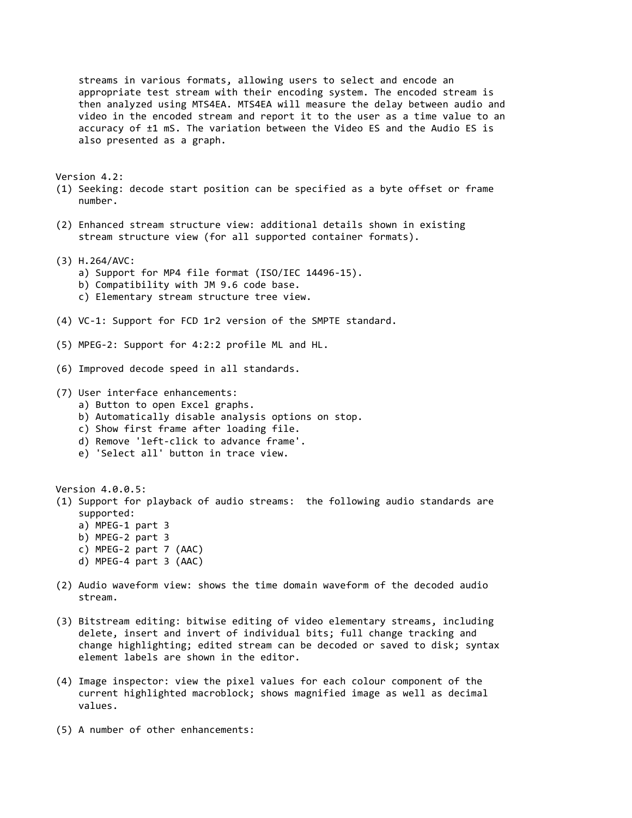streams in various formats, allowing users to select and encode an appropriate test stream with their encoding system. The encoded stream is then analyzed using MTS4EA. MTS4EA will measure the delay between audio and video in the encoded stream and report it to the user as a time value to an accuracy of ±1 mS. The variation between the Video ES and the Audio ES is also presented as a graph.

Version 4.2:

- (1) Seeking: decode start position can be specified as a byte offset or frame number.
- (2) Enhanced stream structure view: additional details shown in existing stream structure view (for all supported container formats).
- (3) H.264/AVC:
	- a) Support for MP4 file format (ISO/IEC 14496-15).
	- b) Compatibility with JM 9.6 code base.
	- c) Elementary stream structure tree view.
- (4) VC-1: Support for FCD 1r2 version of the SMPTE standard.
- (5) MPEG-2: Support for 4:2:2 profile ML and HL.
- (6) Improved decode speed in all standards.

(7) User interface enhancements:

- a) Button to open Excel graphs.
- b) Automatically disable analysis options on stop.
- c) Show first frame after loading file.
- d) Remove 'left-click to advance frame'.
- e) 'Select all' button in trace view.

Version 4.0.0.5: (1) Support for playback of audio streams: the following audio standards are supported: a) MPEG-1 part 3

- b) MPEG-2 part 3
- c) MPEG-2 part 7 (AAC)
- d) MPEG-4 part 3 (AAC)
- (2) Audio waveform view: shows the time domain waveform of the decoded audio stream.
- (3) Bitstream editing: bitwise editing of video elementary streams, including delete, insert and invert of individual bits; full change tracking and change highlighting; edited stream can be decoded or saved to disk; syntax element labels are shown in the editor.
- (4) Image inspector: view the pixel values for each colour component of the current highlighted macroblock; shows magnified image as well as decimal values.
- (5) A number of other enhancements: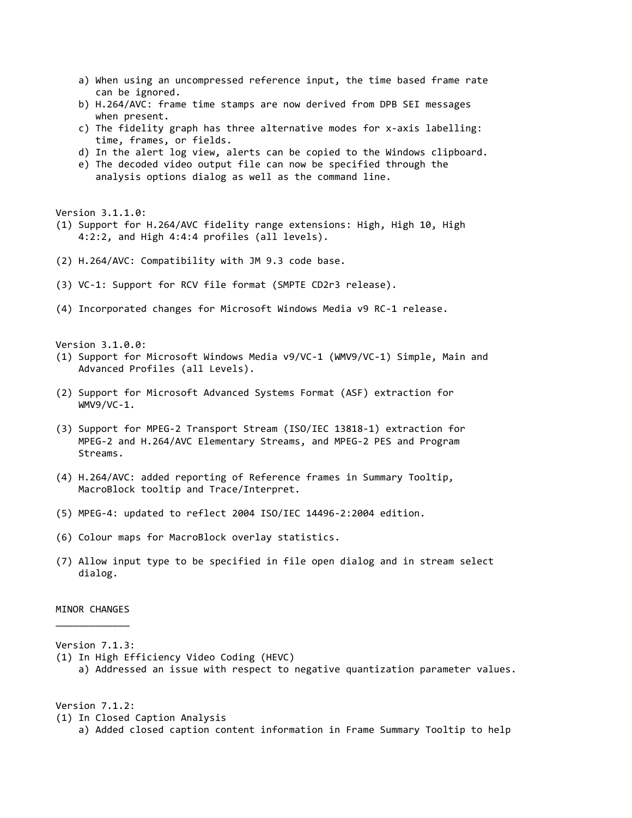- a) When using an uncompressed reference input, the time based frame rate can be ignored.
- b) H.264/AVC: frame time stamps are now derived from DPB SEI messages when present.
- c) The fidelity graph has three alternative modes for x-axis labelling: time, frames, or fields.
- d) In the alert log view, alerts can be copied to the Windows clipboard.
- e) The decoded video output file can now be specified through the analysis options dialog as well as the command line.

Version 3.1.1.0:

- (1) Support for H.264/AVC fidelity range extensions: High, High 10, High 4:2:2, and High 4:4:4 profiles (all levels).
- (2) H.264/AVC: Compatibility with JM 9.3 code base.
- (3) VC-1: Support for RCV file format (SMPTE CD2r3 release).
- (4) Incorporated changes for Microsoft Windows Media v9 RC-1 release.

Version 3.1.0.0:

- (1) Support for Microsoft Windows Media v9/VC-1 (WMV9/VC-1) Simple, Main and Advanced Profiles (all Levels).
- (2) Support for Microsoft Advanced Systems Format (ASF) extraction for WMV9/VC-1.
- (3) Support for MPEG-2 Transport Stream (ISO/IEC 13818-1) extraction for MPEG-2 and H.264/AVC Elementary Streams, and MPEG-2 PES and Program Streams.
- (4) H.264/AVC: added reporting of Reference frames in Summary Tooltip, MacroBlock tooltip and Trace/Interpret.
- (5) MPEG-4: updated to reflect 2004 ISO/IEC 14496-2:2004 edition.
- (6) Colour maps for MacroBlock overlay statistics.
- (7) Allow input type to be specified in file open dialog and in stream select dialog.

# MINOR CHANGES  $\overline{\phantom{a}}$  , where  $\overline{\phantom{a}}$

#### Version 7.1.3:

- (1) In High Efficiency Video Coding (HEVC)
	- a) Addressed an issue with respect to negative quantization parameter values.

Version 7.1.2:

- (1) In Closed Caption Analysis
	- a) Added closed caption content information in Frame Summary Tooltip to help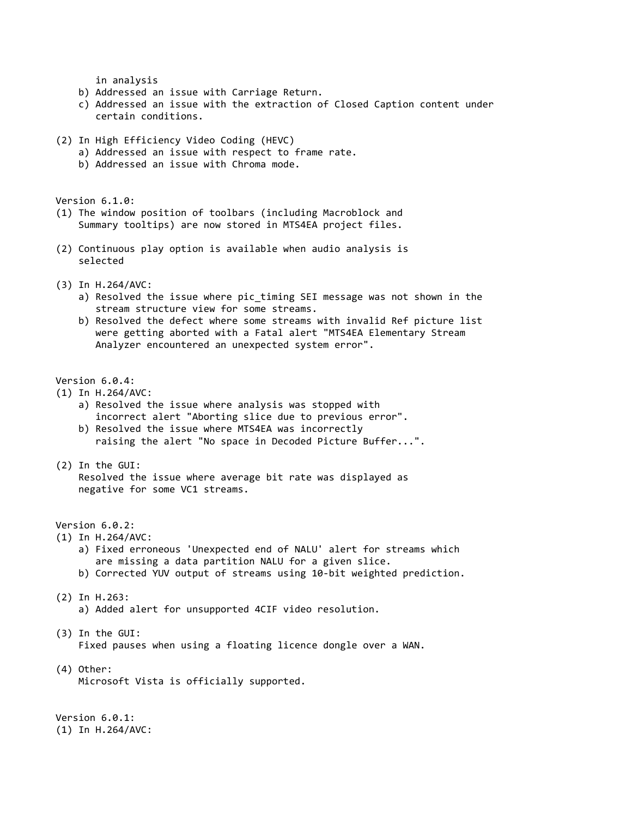in analysis

- b) Addressed an issue with Carriage Return.
- c) Addressed an issue with the extraction of Closed Caption content under certain conditions.
- (2) In High Efficiency Video Coding (HEVC)
	- a) Addressed an issue with respect to frame rate.
	- b) Addressed an issue with Chroma mode.

Version 6.1.0:

- (1) The window position of toolbars (including Macroblock and Summary tooltips) are now stored in MTS4EA project files.
- (2) Continuous play option is available when audio analysis is selected
- (3) In H.264/AVC:
	- a) Resolved the issue where pic\_timing SEI message was not shown in the stream structure view for some streams.
	- b) Resolved the defect where some streams with invalid Ref picture list were getting aborted with a Fatal alert "MTS4EA Elementary Stream Analyzer encountered an unexpected system error".

Version 6.0.4:

- (1) In H.264/AVC:
	- a) Resolved the issue where analysis was stopped with incorrect alert "Aborting slice due to previous error".
	- b) Resolved the issue where MTS4EA was incorrectly raising the alert "No space in Decoded Picture Buffer...".
- (2) In the GUI:
	- Resolved the issue where average bit rate was displayed as negative for some VC1 streams.

Version 6.0.2:

- (1) In H.264/AVC:
	- a) Fixed erroneous 'Unexpected end of NALU' alert for streams which are missing a data partition NALU for a given slice.
	- b) Corrected YUV output of streams using 10-bit weighted prediction.
- (2) In H.263:
	- a) Added alert for unsupported 4CIF video resolution.
- (3) In the GUI: Fixed pauses when using a floating licence dongle over a WAN.
- (4) Other: Microsoft Vista is officially supported.

Version 6.0.1: (1) In H.264/AVC: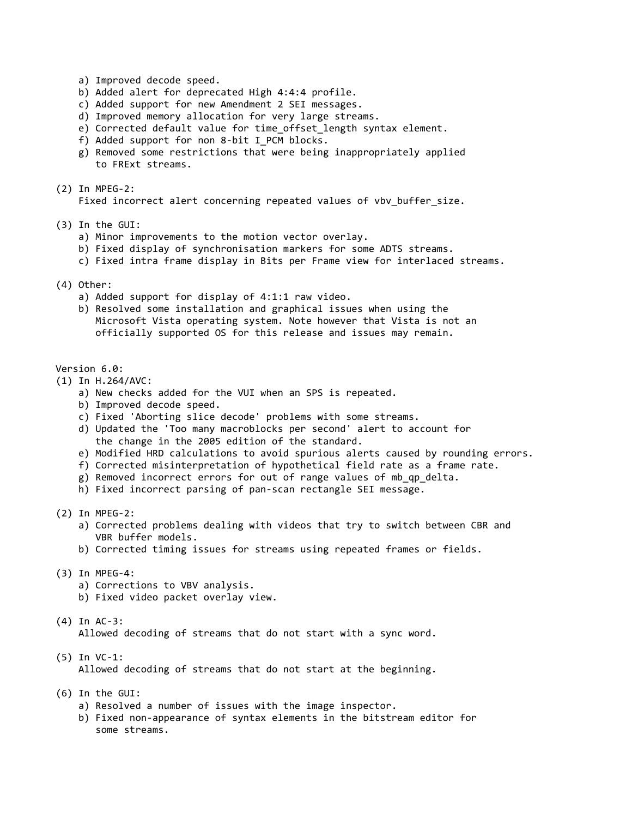- a) Improved decode speed.
- b) Added alert for deprecated High 4:4:4 profile.
- c) Added support for new Amendment 2 SEI messages.
- d) Improved memory allocation for very large streams.
- e) Corrected default value for time\_offset\_length syntax element.
- f) Added support for non 8-bit I PCM blocks.
- g) Removed some restrictions that were being inappropriately applied to FRExt streams.
- (2) In MPEG-2:

Fixed incorrect alert concerning repeated values of vbv buffer size.

- (3) In the GUI:
	- a) Minor improvements to the motion vector overlay.
	- b) Fixed display of synchronisation markers for some ADTS streams.
	- c) Fixed intra frame display in Bits per Frame view for interlaced streams.
- (4) Other:
	- a) Added support for display of 4:1:1 raw video.
	- b) Resolved some installation and graphical issues when using the Microsoft Vista operating system. Note however that Vista is not an officially supported OS for this release and issues may remain.

# Version 6.0:

- (1) In H.264/AVC:
	- a) New checks added for the VUI when an SPS is repeated.
	- b) Improved decode speed.
	- c) Fixed 'Aborting slice decode' problems with some streams.
	- d) Updated the 'Too many macroblocks per second' alert to account for the change in the 2005 edition of the standard.
	- e) Modified HRD calculations to avoid spurious alerts caused by rounding errors.
	- f) Corrected misinterpretation of hypothetical field rate as a frame rate.
	- g) Removed incorrect errors for out of range values of mb\_qp\_delta.
	- h) Fixed incorrect parsing of pan-scan rectangle SEI message.
- (2) In MPEG-2:
	- a) Corrected problems dealing with videos that try to switch between CBR and VBR buffer models.
	- b) Corrected timing issues for streams using repeated frames or fields.
- (3) In MPEG-4:
	- a) Corrections to VBV analysis.
	- b) Fixed video packet overlay view.
- (4) In AC-3:

Allowed decoding of streams that do not start with a sync word.

(5) In VC-1:

Allowed decoding of streams that do not start at the beginning.

- (6) In the GUI:
	- a) Resolved a number of issues with the image inspector.
	- b) Fixed non-appearance of syntax elements in the bitstream editor for some streams.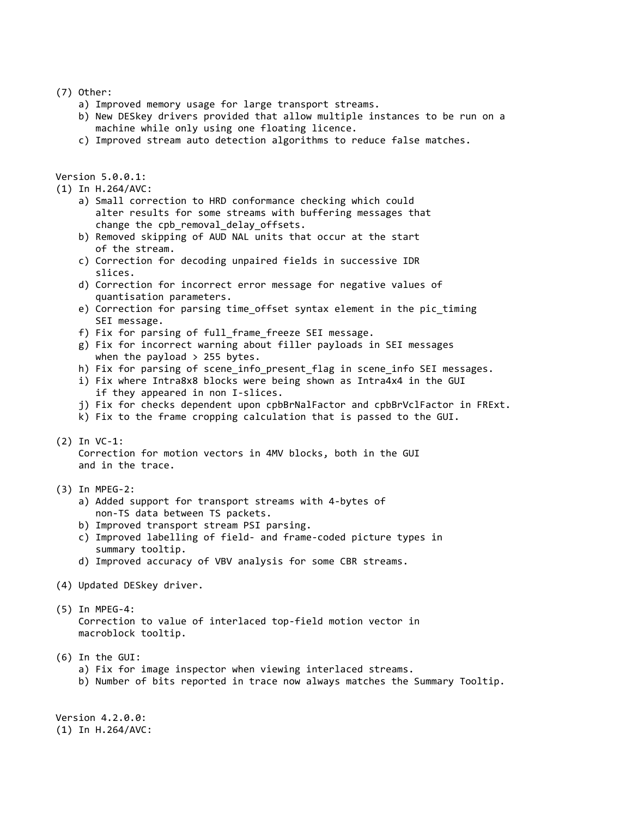#### (7) Other:

- a) Improved memory usage for large transport streams.
- b) New DESkey drivers provided that allow multiple instances to be run on a machine while only using one floating licence.
- c) Improved stream auto detection algorithms to reduce false matches.

Version 5.0.0.1:

(1) In H.264/AVC:

- a) Small correction to HRD conformance checking which could alter results for some streams with buffering messages that change the cpb removal delay offsets.
- b) Removed skipping of AUD NAL units that occur at the start of the stream.
- c) Correction for decoding unpaired fields in successive IDR slices.
- d) Correction for incorrect error message for negative values of quantisation parameters.
- e) Correction for parsing time\_offset syntax element in the pic timing SEI message.
- f) Fix for parsing of full\_frame\_freeze SEI message.
- g) Fix for incorrect warning about filler payloads in SEI messages when the payload  $> 255$  bytes.
- h) Fix for parsing of scene\_info\_present\_flag in scene\_info SEI messages.
- i) Fix where Intra8x8 blocks were being shown as Intra4x4 in the GUI if they appeared in non I-slices.
- j) Fix for checks dependent upon cpbBrNalFactor and cpbBrVclFactor in FRExt.
- k) Fix to the frame cropping calculation that is passed to the GUI.

### (2) In VC-1:

 Correction for motion vectors in 4MV blocks, both in the GUI and in the trace.

- (3) In MPEG-2:
	- a) Added support for transport streams with 4-bytes of non-TS data between TS packets.
	- b) Improved transport stream PSI parsing.
	- c) Improved labelling of field- and frame-coded picture types in summary tooltip.
	- d) Improved accuracy of VBV analysis for some CBR streams.
- (4) Updated DESkey driver.
- (5) In MPEG-4: Correction to value of interlaced top-field motion vector in macroblock tooltip.
- (6) In the GUI:
	- a) Fix for image inspector when viewing interlaced streams.
	- b) Number of bits reported in trace now always matches the Summary Tooltip.

Version 4.2.0.0: (1) In H.264/AVC: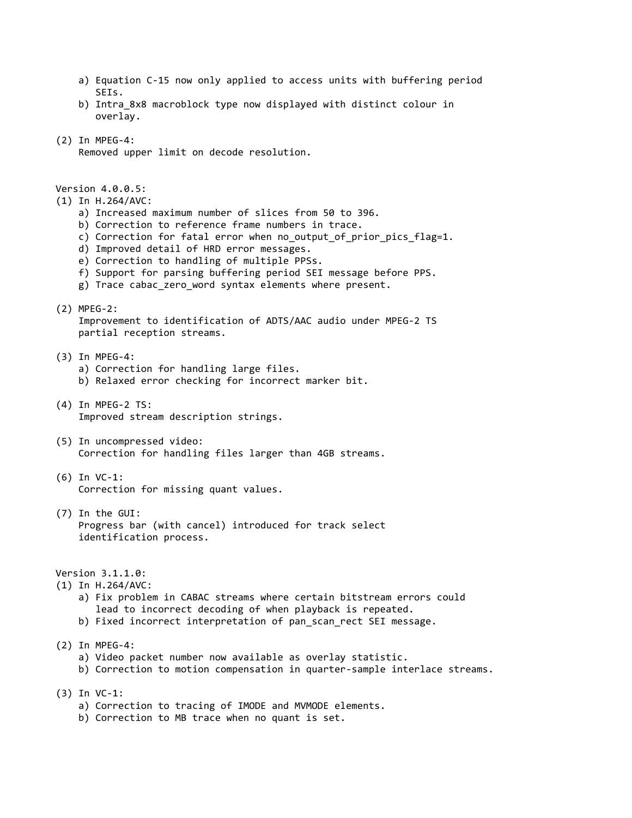- a) Equation C-15 now only applied to access units with buffering period SEIs.
- b) Intra\_8x8 macroblock type now displayed with distinct colour in overlay.
- (2) In MPEG-4:
	- Removed upper limit on decode resolution.

Version 4.0.0.5:

- (1) In H.264/AVC:
	- a) Increased maximum number of slices from 50 to 396.
	- b) Correction to reference frame numbers in trace.
	- c) Correction for fatal error when no\_output\_of\_prior\_pics\_flag=1.
	- d) Improved detail of HRD error messages.
	- e) Correction to handling of multiple PPSs.
	- f) Support for parsing buffering period SEI message before PPS.
	- g) Trace cabac\_zero\_word syntax elements where present.
- (2) MPEG-2:

 Improvement to identification of ADTS/AAC audio under MPEG-2 TS partial reception streams.

- (3) In MPEG-4:
	- a) Correction for handling large files.
	- b) Relaxed error checking for incorrect marker bit.
- (4) In MPEG-2 TS: Improved stream description strings.
- (5) In uncompressed video: Correction for handling files larger than 4GB streams.
- (6) In VC-1: Correction for missing quant values.
- (7) In the GUI: Progress bar (with cancel) introduced for track select identification process.

Version 3.1.1.0:

(1) In H.264/AVC:

- a) Fix problem in CABAC streams where certain bitstream errors could lead to incorrect decoding of when playback is repeated.
- b) Fixed incorrect interpretation of pan\_scan\_rect SEI message.
- (2) In MPEG-4:
	- a) Video packet number now available as overlay statistic.
	- b) Correction to motion compensation in quarter-sample interlace streams.
- (3) In VC-1:
	- a) Correction to tracing of IMODE and MVMODE elements.
	- b) Correction to MB trace when no quant is set.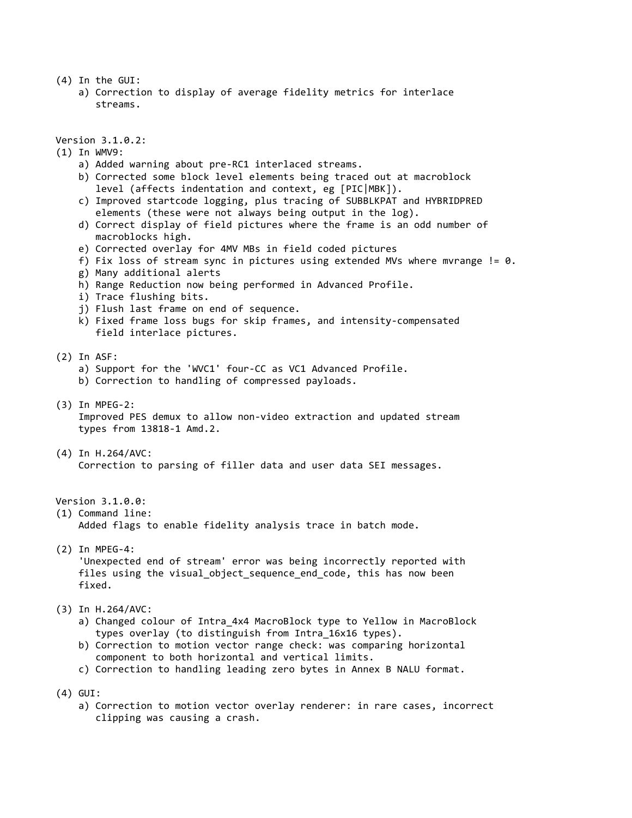- (4) In the GUI:
	- a) Correction to display of average fidelity metrics for interlace streams.

Version 3.1.0.2:

- (1) In WMV9:
	- a) Added warning about pre-RC1 interlaced streams.
	- b) Corrected some block level elements being traced out at macroblock level (affects indentation and context, eg [PIC|MBK]).
	- c) Improved startcode logging, plus tracing of SUBBLKPAT and HYBRIDPRED elements (these were not always being output in the log).
	- d) Correct display of field pictures where the frame is an odd number of macroblocks high.
	- e) Corrected overlay for 4MV MBs in field coded pictures
	- f) Fix loss of stream sync in pictures using extended MVs where mvrange  $!= 0$ .
	- g) Many additional alerts
	- h) Range Reduction now being performed in Advanced Profile.
	- i) Trace flushing bits.
	- j) Flush last frame on end of sequence.
	- k) Fixed frame loss bugs for skip frames, and intensity-compensated field interlace pictures.
- (2) In ASF:
	- a) Support for the 'WVC1' four-CC as VC1 Advanced Profile.
	- b) Correction to handling of compressed payloads.
- (3) In MPEG-2:

 Improved PES demux to allow non-video extraction and updated stream types from 13818-1 Amd.2.

(4) In H.264/AVC: Correction to parsing of filler data and user data SEI messages.

Version 3.1.0.0:

(1) Command line:

Added flags to enable fidelity analysis trace in batch mode.

- (2) In MPEG-4: 'Unexpected end of stream' error was being incorrectly reported with files using the visual object sequence end code, this has now been fixed.
- (3) In H.264/AVC:
	- a) Changed colour of Intra 4x4 MacroBlock type to Yellow in MacroBlock types overlay (to distinguish from Intra\_16x16 types).
	- b) Correction to motion vector range check: was comparing horizontal component to both horizontal and vertical limits.
	- c) Correction to handling leading zero bytes in Annex B NALU format.
- (4) GUI:
	- a) Correction to motion vector overlay renderer: in rare cases, incorrect clipping was causing a crash.